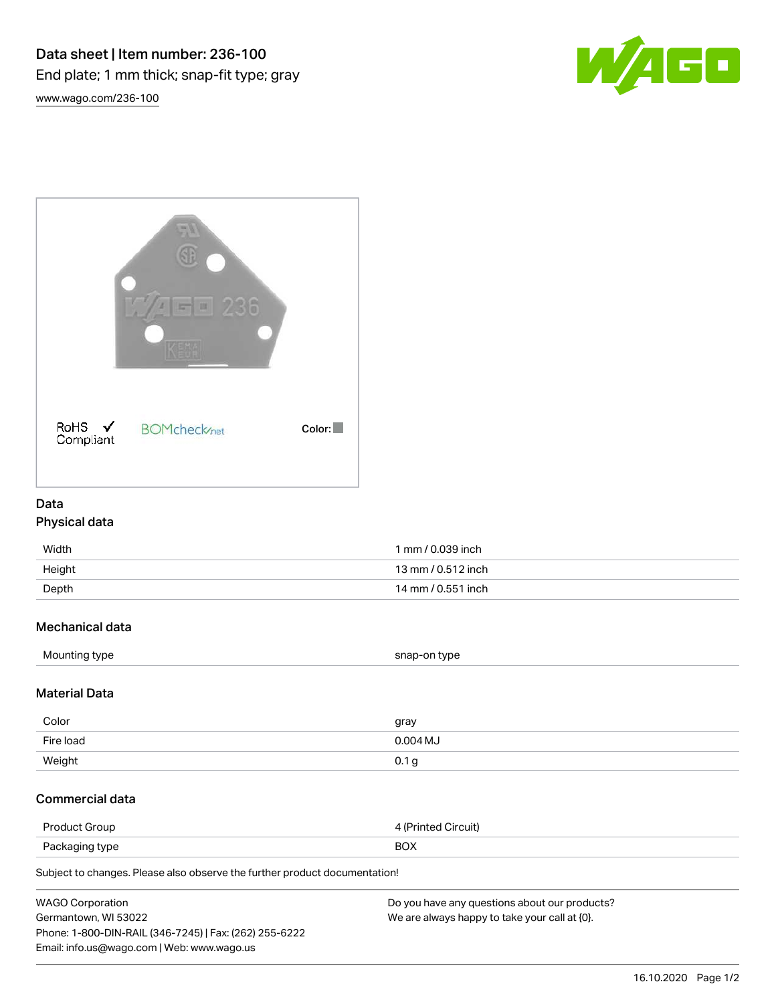



## Data

## Physical data

| Width  | 1 mm / 0.039 inch  |
|--------|--------------------|
| Height | 13 mm / 0.512 inch |
| Depth  | 14 mm / 0.551 inch |

# Mechanical data

| Mounting type<br>snap-on type |
|-------------------------------|
|-------------------------------|

### Material Data

| Color     | gray       |
|-----------|------------|
| Fire load | $0.004$ MJ |
| Weight    | 0.1<br>۰a  |

### Commercial data

| Product Group  | 4 (Printed Circuit) |
|----------------|---------------------|
| Packaging type | <b>BOX</b>          |

Subject to changes. Please also observe the further product documentation!

| <b>WAGO Corporation</b>                                | Do you have any questions about our products? |
|--------------------------------------------------------|-----------------------------------------------|
| Germantown, WI 53022                                   | We are always happy to take your call at {0}. |
| Phone: 1-800-DIN-RAIL (346-7245)   Fax: (262) 255-6222 |                                               |
| Email: info.us@wago.com   Web: www.wago.us             |                                               |